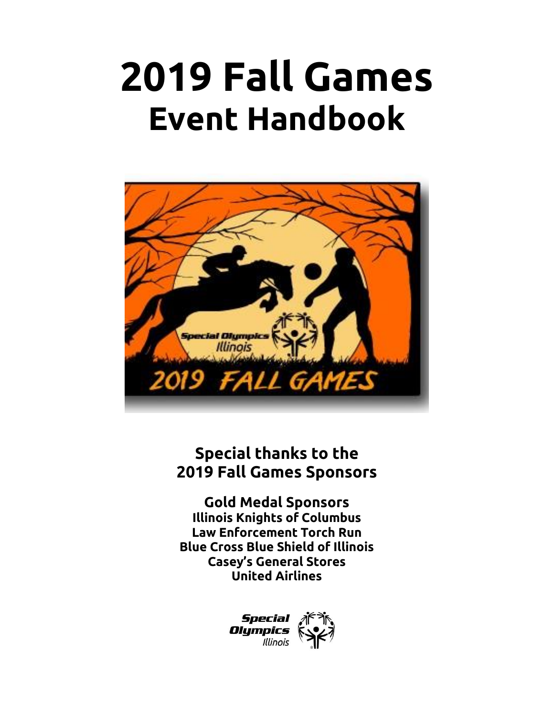# **2019 Fall Games Event Handbook**



### **Special thanks to the 2019 Fall Games Sponsors**

**Gold Medal Sponsors Illinois Knights of Columbus Law Enforcement Torch Run Blue Cross Blue Shield of Illinois Casey's General Stores United Airlines**

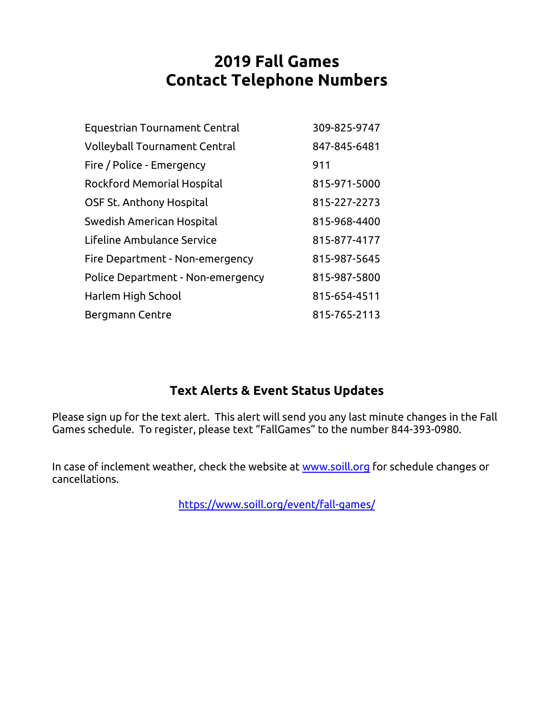#### **2019 Fall Games Contact Telephone Numbers**

| <b>Equestrian Tournament Central</b> | 309-825-9747 |
|--------------------------------------|--------------|
| <b>Volleyball Tournament Central</b> | 847-845-6481 |
| Fire / Police - Emergency            | 911          |
| Rockford Memorial Hospital           | 815-971-5000 |
| OSF St. Anthony Hospital             | 815-227-2273 |
| Swedish American Hospital            | 815-968-4400 |
| Lifeline Ambulance Service           | 815-877-4177 |
| Fire Department - Non-emergency      | 815-987-5645 |
| Police Department - Non-emergency    | 815-987-5800 |
| Harlem High School                   | 815-654-4511 |
| Bergmann Centre                      | 815-765-2113 |

#### **Text Alerts & Event Status Updates**

Please sign up for the text alert. This alert will send you any last minute changes in the Fall Games schedule. To register, please text "FallGames" to the number 844-393-0980.

In case of inclement weather, check the website at [www.soill.org](http://www.soill.org/) for schedule changes or cancellations.

<https://www.soill.org/event/fall-games/>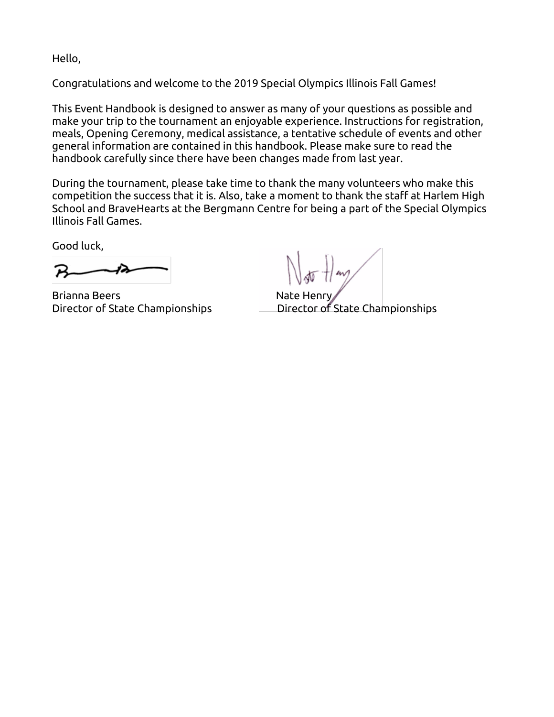Hello,

Congratulations and welcome to the 2019 Special Olympics Illinois Fall Games!

This Event Handbook is designed to answer as many of your questions as possible and make your trip to the tournament an enjoyable experience. Instructions for registration, meals, Opening Ceremony, medical assistance, a tentative schedule of events and other general information are contained in this handbook. Please make sure to read the handbook carefully since there have been changes made from last year.

During the tournament, please take time to thank the many volunteers who make this competition the success that it is. Also, take a moment to thank the staff at Harlem High School and BraveHearts at the Bergmann Centre for being a part of the Special Olympics Illinois Fall Games.

Good luck,

Brianna Beers Nate Henry

 $N_{\text{st}}$  Hay

Director of State Championships Director of State Championships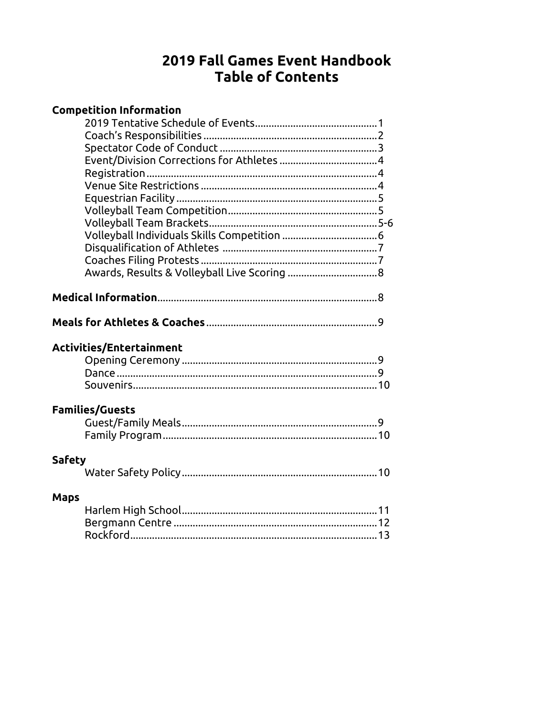#### 2019 Fall Games Event Handbook **Table of Contents**

|               | <b>Competition Information</b> |
|---------------|--------------------------------|
|               |                                |
|               |                                |
|               |                                |
|               |                                |
|               |                                |
|               |                                |
|               |                                |
|               |                                |
|               |                                |
|               |                                |
|               |                                |
|               |                                |
|               |                                |
|               |                                |
|               |                                |
|               | Activities/Entertainment       |
|               |                                |
|               |                                |
|               |                                |
|               |                                |
|               | <b>Families/Guests</b>         |
|               |                                |
|               |                                |
| <b>Safety</b> |                                |
|               |                                |
|               |                                |
| <b>Maps</b>   |                                |
|               |                                |
|               |                                |
|               |                                |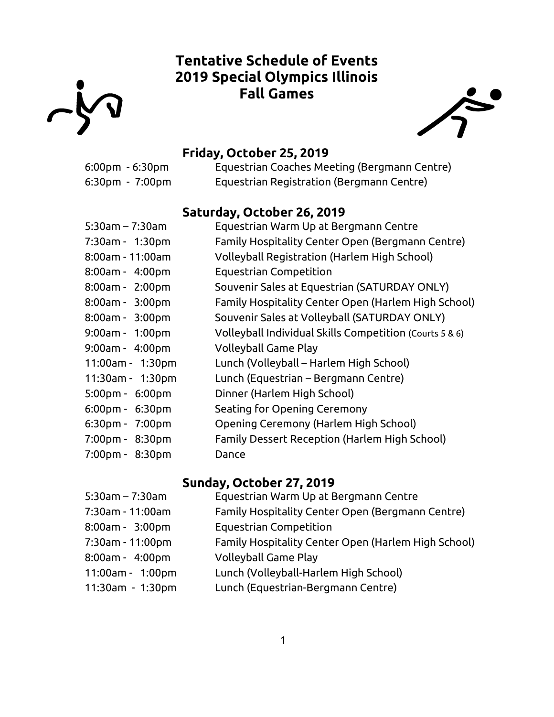

#### **Tentative Schedule of Events 2019 Special Olympics Illinois Fall Games**



#### **Friday, October 25, 2019**

| $6:00 \text{pm} - 6:30 \text{pm}$ | Equestrian Coaches Meeting (Bergmann Centre) |
|-----------------------------------|----------------------------------------------|
| $6:30$ pm - 7:00pm                | Equestrian Registration (Bergmann Centre)    |

#### **Saturday, October 26, 2019**

| $5:30$ am – 7:30am                | Equestrian Warm Up at Bergmann Centre                   |
|-----------------------------------|---------------------------------------------------------|
| 7:30am - 1:30pm                   | Family Hospitality Center Open (Bergmann Centre)        |
| $8:00$ am - 11:00am               | Volleyball Registration (Harlem High School)            |
| $8:00$ am - $4:00$ pm             | Equestrian Competition                                  |
| $8:00am - 2:00pm$                 | Souvenir Sales at Equestrian (SATURDAY ONLY)            |
| $8:00$ am - $3:00$ pm             | Family Hospitality Center Open (Harlem High School)     |
| $8:00$ am - $3:00$ pm             | Souvenir Sales at Volleyball (SATURDAY ONLY)            |
| $9:00$ am - 1:00pm                | Volleyball Individual Skills Competition (Courts 5 & 6) |
| $9:00$ am - $4:00$ pm             | <b>Volleyball Game Play</b>                             |
| 11:00am - 1:30pm                  | Lunch (Volleyball – Harlem High School)                 |
| 11:30am - 1:30pm                  | Lunch (Equestrian – Bergmann Centre)                    |
| $5:00 \text{pm} - 6:00 \text{pm}$ | Dinner (Harlem High School)                             |
| $6:00 \text{pm} - 6:30 \text{pm}$ | Seating for Opening Ceremony                            |
| $6:30$ pm - 7:00pm                | Opening Ceremony (Harlem High School)                   |
| 7:00pm - 8:30pm                   | Family Dessert Reception (Harlem High School)           |
| 7:00pm - 8:30pm                   | Dance                                                   |
|                                   |                                                         |

#### **Sunday, October 27, 2019**

| Equestrian Warm Up at Bergmann Centre               |
|-----------------------------------------------------|
| Family Hospitality Center Open (Bergmann Centre)    |
| <b>Equestrian Competition</b>                       |
| Family Hospitality Center Open (Harlem High School) |
| <b>Volleyball Game Play</b>                         |
| Lunch (Volleyball-Harlem High School)               |
| Lunch (Equestrian-Bergmann Centre)                  |
|                                                     |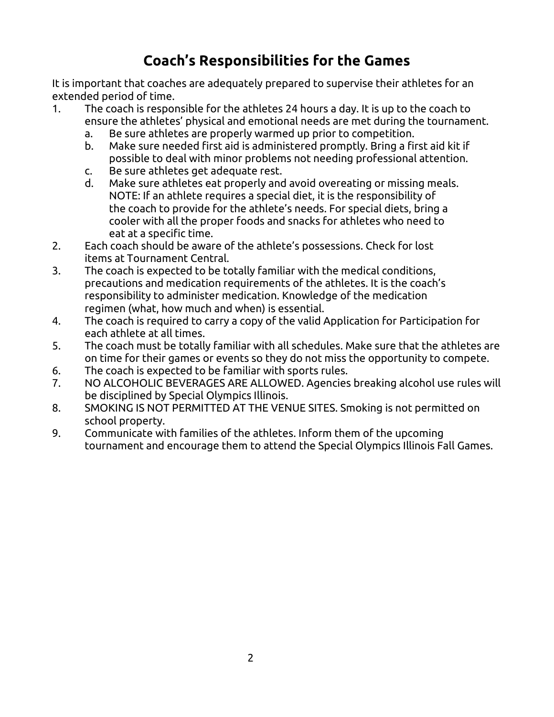#### **Coach's Responsibilities for the Games**

It is important that coaches are adequately prepared to supervise their athletes for an extended period of time.

- 1. The coach is responsible for the athletes 24 hours a day. It is up to the coach to ensure the athletes' physical and emotional needs are met during the tournament.
	- a. Be sure athletes are properly warmed up prior to competition.
	- b. Make sure needed first aid is administered promptly. Bring a first aid kit if possible to deal with minor problems not needing professional attention.
	- c. Be sure athletes get adequate rest.
	- d. Make sure athletes eat properly and avoid overeating or missing meals. NOTE: If an athlete requires a special diet, it is the responsibility of the coach to provide for the athlete's needs. For special diets, bring a cooler with all the proper foods and snacks for athletes who need to eat at a specific time.
- 2. Each coach should be aware of the athlete's possessions. Check for lost items at Tournament Central.
- 3. The coach is expected to be totally familiar with the medical conditions, precautions and medication requirements of the athletes. It is the coach's responsibility to administer medication. Knowledge of the medication regimen (what, how much and when) is essential.
- 4. The coach is required to carry a copy of the valid Application for Participation for each athlete at all times.
- 5. The coach must be totally familiar with all schedules. Make sure that the athletes are on time for their games or events so they do not miss the opportunity to compete.
- 6. The coach is expected to be familiar with sports rules.
- 7. NO ALCOHOLIC BEVERAGES ARE ALLOWED. Agencies breaking alcohol use rules will be disciplined by Special Olympics Illinois.
- 8. SMOKING IS NOT PERMITTED AT THE VENUE SITES. Smoking is not permitted on school property.
- 9. Communicate with families of the athletes. Inform them of the upcoming tournament and encourage them to attend the Special Olympics Illinois Fall Games.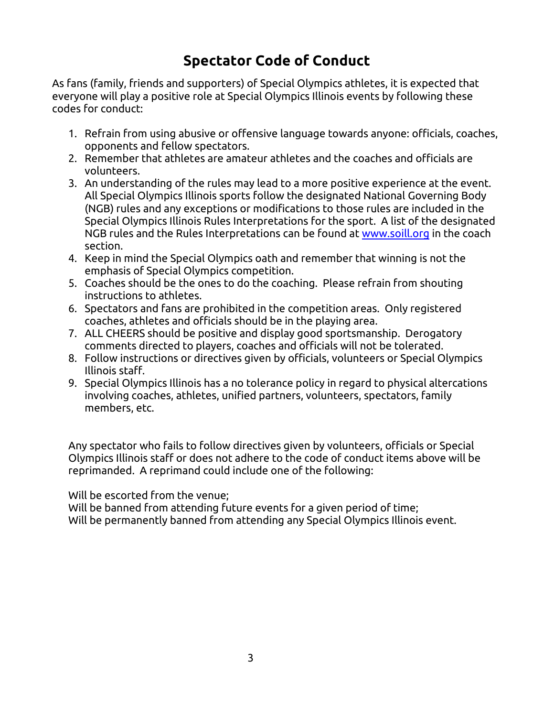#### **Spectator Code of Conduct**

As fans (family, friends and supporters) of Special Olympics athletes, it is expected that everyone will play a positive role at Special Olympics Illinois events by following these codes for conduct:

- 1. Refrain from using abusive or offensive language towards anyone: officials, coaches, opponents and fellow spectators.
- 2. Remember that athletes are amateur athletes and the coaches and officials are volunteers.
- 3. An understanding of the rules may lead to a more positive experience at the event. All Special Olympics Illinois sports follow the designated National Governing Body (NGB) rules and any exceptions or modifications to those rules are included in the Special Olympics Illinois Rules Interpretations for the sport. A list of the designated NGB rules and the Rules Interpretations can be found at [www.soill.org](http://www.soill.org/) in the coach section.
- 4. Keep in mind the Special Olympics oath and remember that winning is not the emphasis of Special Olympics competition.
- 5. Coaches should be the ones to do the coaching. Please refrain from shouting instructions to athletes.
- 6. Spectators and fans are prohibited in the competition areas. Only registered coaches, athletes and officials should be in the playing area.
- 7. ALL CHEERS should be positive and display good sportsmanship. Derogatory comments directed to players, coaches and officials will not be tolerated.
- 8. Follow instructions or directives given by officials, volunteers or Special Olympics Illinois staff.
- 9. Special Olympics Illinois has a no tolerance policy in regard to physical altercations involving coaches, athletes, unified partners, volunteers, spectators, family members, etc.

Any spectator who fails to follow directives given by volunteers, officials or Special Olympics Illinois staff or does not adhere to the code of conduct items above will be reprimanded. A reprimand could include one of the following:

Will be escorted from the venue;

Will be banned from attending future events for a given period of time; Will be permanently banned from attending any Special Olympics Illinois event.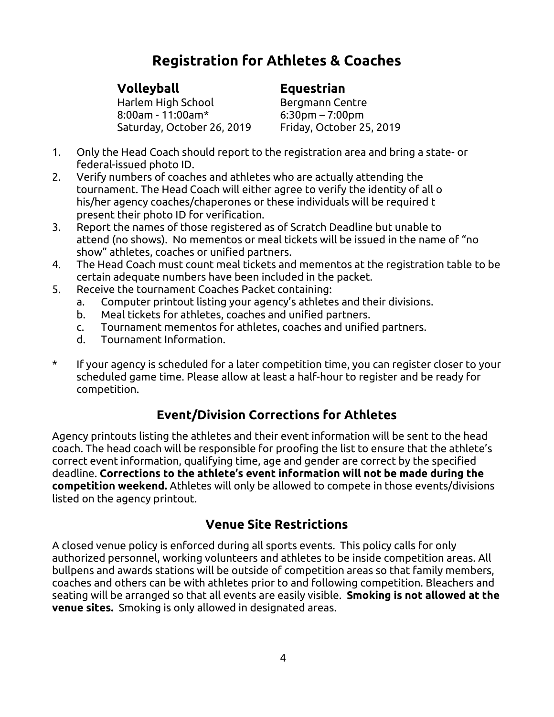#### **Registration for Athletes & Coaches**

**Volleyball Equestrian** 

Harlem High School Bergmann Centre 8:00am - 11:00am\* 6:30pm – 7:00pm Saturday, October 26, 2019 Friday, October 25, 2019

- 1. Only the Head Coach should report to the registration area and bring a state- or federal-issued photo ID.
- 2. Verify numbers of coaches and athletes who are actually attending the tournament. The Head Coach will either agree to verify the identity of all o his/her agency coaches/chaperones or these individuals will be required t present their photo ID for verification.
- 3. Report the names of those registered as of Scratch Deadline but unable to attend (no shows). No mementos or meal tickets will be issued in the name of "no show" athletes, coaches or unified partners.
- 4. The Head Coach must count meal tickets and mementos at the registration table to be certain adequate numbers have been included in the packet.
- 5. Receive the tournament Coaches Packet containing:
	- a. Computer printout listing your agency's athletes and their divisions.
	- b. Meal tickets for athletes, coaches and unified partners.
	- c. Tournament mementos for athletes, coaches and unified partners.
	- d. Tournament Information.
- \* If your agency is scheduled for a later competition time, you can register closer to your scheduled game time. Please allow at least a half-hour to register and be ready for competition.

#### **Event/Division Corrections for Athletes**

Agency printouts listing the athletes and their event information will be sent to the head coach. The head coach will be responsible for proofing the list to ensure that the athlete's correct event information, qualifying time, age and gender are correct by the specified deadline. **Corrections to the athlete's event information will not be made during the competition weekend.** Athletes will only be allowed to compete in those events/divisions listed on the agency printout.

#### **Venue Site Restrictions**

A closed venue policy is enforced during all sports events. This policy calls for only authorized personnel, working volunteers and athletes to be inside competition areas. All bullpens and awards stations will be outside of competition areas so that family members, coaches and others can be with athletes prior to and following competition. Bleachers and seating will be arranged so that all events are easily visible. **Smoking is not allowed at the venue sites.** Smoking is only allowed in designated areas.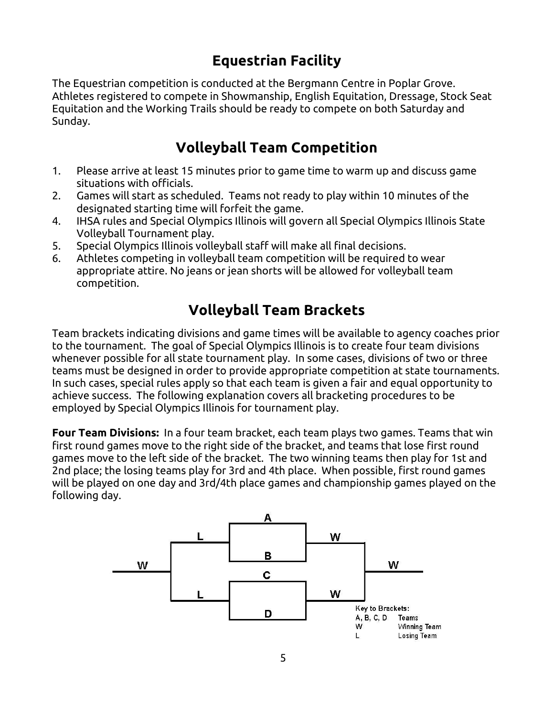#### **Equestrian Facility**

The Equestrian competition is conducted at the Bergmann Centre in Poplar Grove. Athletes registered to compete in Showmanship, English Equitation, Dressage, Stock Seat Equitation and the Working Trails should be ready to compete on both Saturday and Sunday.

#### **Volleyball Team Competition**

- 1. Please arrive at least 15 minutes prior to game time to warm up and discuss game situations with officials.
- 2. Games will start as scheduled. Teams not ready to play within 10 minutes of the designated starting time will forfeit the game.
- 4. IHSA rules and Special Olympics Illinois will govern all Special Olympics Illinois State Volleyball Tournament play.
- 5. Special Olympics Illinois volleyball staff will make all final decisions.
- 6. Athletes competing in volleyball team competition will be required to wear appropriate attire. No jeans or jean shorts will be allowed for volleyball team competition.

#### **Volleyball Team Brackets**

Team brackets indicating divisions and game times will be available to agency coaches prior to the tournament. The goal of Special Olympics Illinois is to create four team divisions whenever possible for all state tournament play. In some cases, divisions of two or three teams must be designed in order to provide appropriate competition at state tournaments. In such cases, special rules apply so that each team is given a fair and equal opportunity to achieve success. The following explanation covers all bracketing procedures to be employed by Special Olympics Illinois for tournament play.

**Four Team Divisions:** In a four team bracket, each team plays two games. Teams that win first round games move to the right side of the bracket, and teams that lose first round games move to the left side of the bracket. The two winning teams then play for 1st and 2nd place; the losing teams play for 3rd and 4th place. When possible, first round games will be played on one day and 3rd/4th place games and championship games played on the following day.

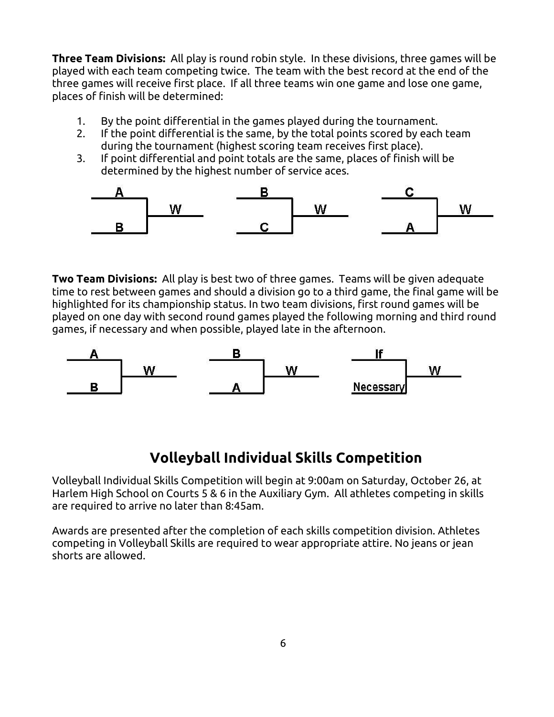**Three Team Divisions:** All play is round robin style. In these divisions, three games will be played with each team competing twice. The team with the best record at the end of the three games will receive first place. If all three teams win one game and lose one game, places of finish will be determined:

- 1. By the point differential in the games played during the tournament.
- 2. If the point differential is the same, by the total points scored by each team during the tournament (highest scoring team receives first place).
- 3. If point differential and point totals are the same, places of finish will be determined by the highest number of service aces.



**Two Team Divisions:** All play is best two of three games. Teams will be given adequate time to rest between games and should a division go to a third game, the final game will be highlighted for its championship status. In two team divisions, first round games will be played on one day with second round games played the following morning and third round games, if necessary and when possible, played late in the afternoon.



#### **Volleyball Individual Skills Competition**

Volleyball Individual Skills Competition will begin at 9:00am on Saturday, October 26, at Harlem High School on Courts 5 & 6 in the Auxiliary Gym. All athletes competing in skills are required to arrive no later than 8:45am.

Awards are presented after the completion of each skills competition division. Athletes competing in Volleyball Skills are required to wear appropriate attire. No jeans or jean shorts are allowed.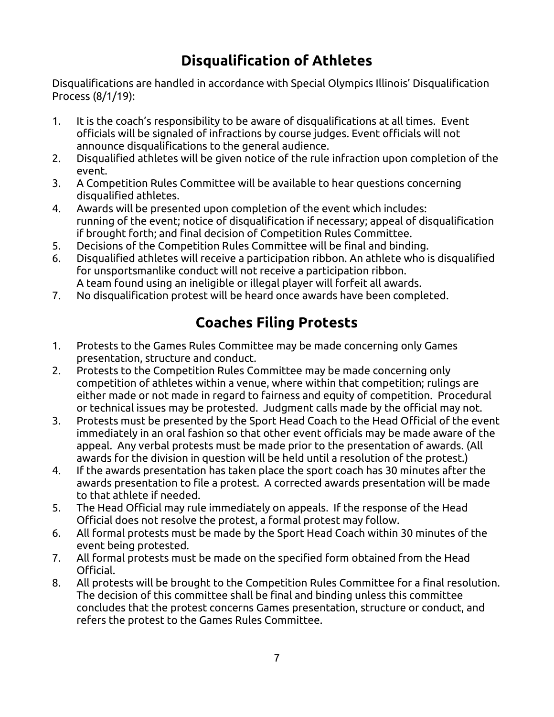#### **Disqualification of Athletes**

Disqualifications are handled in accordance with Special Olympics Illinois' Disqualification Process (8/1/19):

- 1. It is the coach's responsibility to be aware of disqualifications at all times. Event officials will be signaled of infractions by course judges. Event officials will not announce disqualifications to the general audience.
- 2. Disqualified athletes will be given notice of the rule infraction upon completion of the event.
- 3. A Competition Rules Committee will be available to hear questions concerning disqualified athletes.
- 4. Awards will be presented upon completion of the event which includes: running of the event; notice of disqualification if necessary; appeal of disqualification if brought forth; and final decision of Competition Rules Committee.
- 5. Decisions of the Competition Rules Committee will be final and binding.
- 6. Disqualified athletes will receive a participation ribbon. An athlete who is disqualified for unsportsmanlike conduct will not receive a participation ribbon. A team found using an ineligible or illegal player will forfeit all awards.
- 7. No disqualification protest will be heard once awards have been completed.

#### **Coaches Filing Protests**

- 1. Protests to the Games Rules Committee may be made concerning only Games presentation, structure and conduct.
- 2. Protests to the Competition Rules Committee may be made concerning only competition of athletes within a venue, where within that competition; rulings are either made or not made in regard to fairness and equity of competition. Procedural or technical issues may be protested. Judgment calls made by the official may not.
- 3. Protests must be presented by the Sport Head Coach to the Head Official of the event immediately in an oral fashion so that other event officials may be made aware of the appeal. Any verbal protests must be made prior to the presentation of awards. (All awards for the division in question will be held until a resolution of the protest.)
- 4. If the awards presentation has taken place the sport coach has 30 minutes after the awards presentation to file a protest. A corrected awards presentation will be made to that athlete if needed.
- 5. The Head Official may rule immediately on appeals. If the response of the Head Official does not resolve the protest, a formal protest may follow.
- 6. All formal protests must be made by the Sport Head Coach within 30 minutes of the event being protested.
- 7. All formal protests must be made on the specified form obtained from the Head Official.
- 8. All protests will be brought to the Competition Rules Committee for a final resolution. The decision of this committee shall be final and binding unless this committee concludes that the protest concerns Games presentation, structure or conduct, and refers the protest to the Games Rules Committee.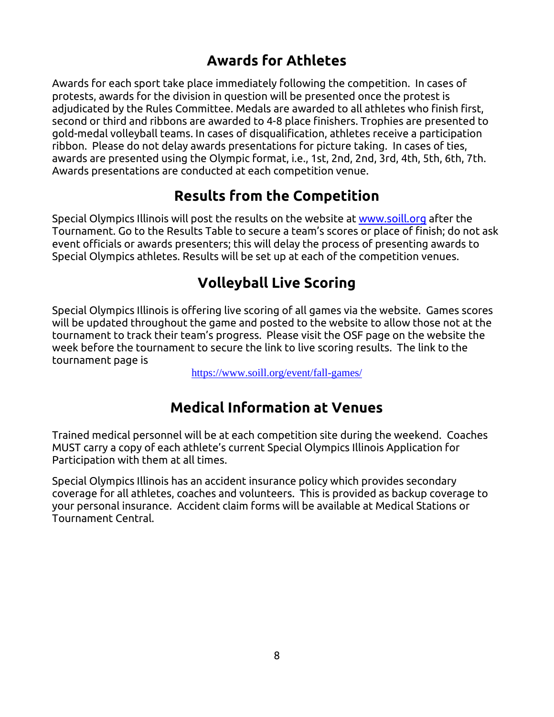#### **Awards for Athletes**

Awards for each sport take place immediately following the competition. In cases of protests, awards for the division in question will be presented once the protest is adjudicated by the Rules Committee. Medals are awarded to all athletes who finish first, second or third and ribbons are awarded to 4-8 place finishers. Trophies are presented to gold-medal volleyball teams. In cases of disqualification, athletes receive a participation ribbon. Please do not delay awards presentations for picture taking. In cases of ties, awards are presented using the Olympic format, i.e., 1st, 2nd, 2nd, 3rd, 4th, 5th, 6th, 7th. Awards presentations are conducted at each competition venue.

#### **Results from the Competition**

Special Olympics Illinois will post the results on the website at [www.soill.org](http://www.soill.org/) after the Tournament. Go to the Results Table to secure a team's scores or place of finish; do not ask event officials or awards presenters; this will delay the process of presenting awards to Special Olympics athletes. Results will be set up at each of the competition venues.

#### **Volleyball Live Scoring**

Special Olympics Illinois is offering live scoring of all games via the website. Games scores will be updated throughout the game and posted to the website to allow those not at the tournament to track their team's progress. Please visit the OSF page on the website the week before the tournament to secure the link to live scoring results. The link to the tournament page is

<https://www.soill.org/event/fall-games/>

#### **Medical Information at Venues**

Trained medical personnel will be at each competition site during the weekend. Coaches MUST carry a copy of each athlete's current Special Olympics Illinois Application for Participation with them at all times.

Special Olympics Illinois has an accident insurance policy which provides secondary coverage for all athletes, coaches and volunteers. This is provided as backup coverage to your personal insurance. Accident claim forms will be available at Medical Stations or Tournament Central.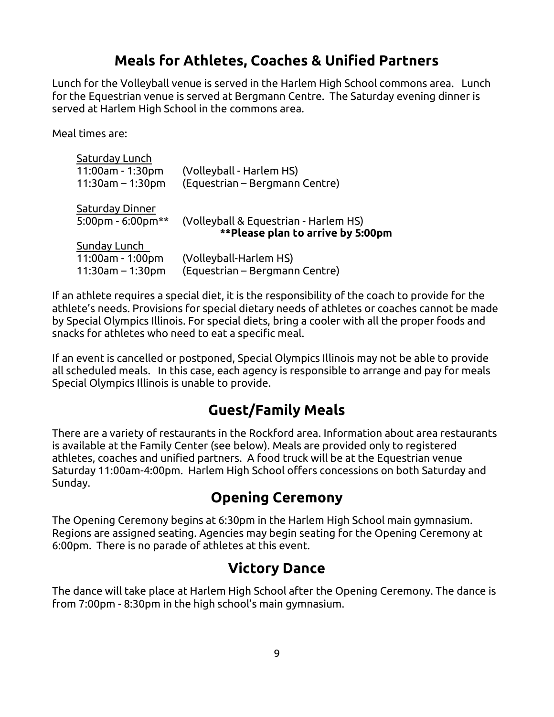#### **Meals for Athletes, Coaches & Unified Partners**

Lunch for the Volleyball venue is served in the Harlem High School commons area. Lunch for the Equestrian venue is served at Bergmann Centre. The Saturday evening dinner is served at Harlem High School in the commons area.

Meal times are:

| Saturday Lunch       |                                                                            |
|----------------------|----------------------------------------------------------------------------|
| 11:00am - 1:30pm     | (Volleyball - Harlem HS)                                                   |
| $11:30$ am - 1:30pm  | (Equestrian - Bergmann Centre)                                             |
| Saturday Dinner      |                                                                            |
| $5:00$ pm - 6:00pm** | (Volleyball & Equestrian - Harlem HS)<br>**Please plan to arrive by 5:00pm |
| Sunday Lunch         |                                                                            |
| 11:00am - 1:00pm     | (Volleyball-Harlem HS)                                                     |
| $11:30am - 1:30pm$   | (Equestrian – Bergmann Centre)                                             |

If an athlete requires a special diet, it is the responsibility of the coach to provide for the athlete's needs. Provisions for special dietary needs of athletes or coaches cannot be made by Special Olympics Illinois. For special diets, bring a cooler with all the proper foods and snacks for athletes who need to eat a specific meal.

If an event is cancelled or postponed, Special Olympics Illinois may not be able to provide all scheduled meals. In this case, each agency is responsible to arrange and pay for meals Special Olympics Illinois is unable to provide.

#### **Guest/Family Meals**

There are a variety of restaurants in the Rockford area. Information about area restaurants is available at the Family Center (see below). Meals are provided only to registered athletes, coaches and unified partners. A food truck will be at the Equestrian venue Saturday 11:00am-4:00pm. Harlem High School offers concessions on both Saturday and Sunday.

#### **Opening Ceremony**

The Opening Ceremony begins at 6:30pm in the Harlem High School main gymnasium. Regions are assigned seating. Agencies may begin seating for the Opening Ceremony at 6:00pm. There is no parade of athletes at this event.

#### **Victory Dance**

The dance will take place at Harlem High School after the Opening Ceremony. The dance is from 7:00pm - 8:30pm in the high school's main gymnasium.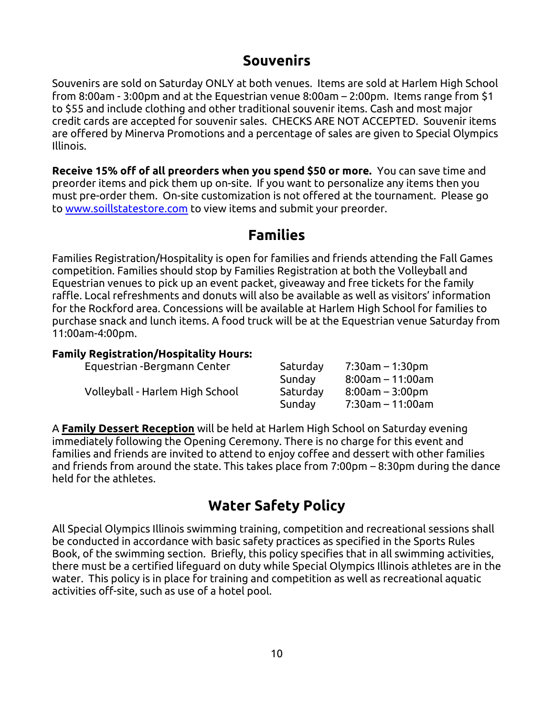#### **Souvenirs**

Souvenirs are sold on Saturday ONLY at both venues. Items are sold at Harlem High School from 8:00am - 3:00pm and at the Equestrian venue 8:00am – 2:00pm. Items range from \$1 to \$55 and include clothing and other traditional souvenir items. Cash and most major credit cards are accepted for souvenir sales. CHECKS ARE NOT ACCEPTED. Souvenir items are offered by Minerva Promotions and a percentage of sales are given to Special Olympics Illinois.

**Receive 15% off of all preorders when you spend \$50 or more.** You can save time and preorder items and pick them up on-site. If you want to personalize any items then you must pre-order them. On-site customization is not offered at the tournament. Please go to [www.soillstatestore.com](http://www.soillstatestore.com/) to view items and submit your preorder.

#### **Families**

Families Registration/Hospitality is open for families and friends attending the Fall Games competition. Families should stop by Families Registration at both the Volleyball and Equestrian venues to pick up an event packet, giveaway and free tickets for the family raffle. Local refreshments and donuts will also be available as well as visitors' information for the Rockford area. Concessions will be available at Harlem High School for families to purchase snack and lunch items. A food truck will be at the Equestrian venue Saturday from 11:00am-4:00pm.

#### **Family Registration/Hospitality Hours:**

| Equestrian -Bergmann Center     | Saturday | 7:30am – 1:30pm     |
|---------------------------------|----------|---------------------|
|                                 | Sunday   | $8:00$ am – 11:00am |
| Volleyball - Harlem High School | Saturday | $8:00$ am – 3:00pm  |
|                                 | Sunday   | $7:30$ am – 11:00am |

A **Family Dessert Reception** will be held at Harlem High School on Saturday evening immediately following the Opening Ceremony. There is no charge for this event and families and friends are invited to attend to enjoy coffee and dessert with other families and friends from around the state. This takes place from 7:00pm – 8:30pm during the dance held for the athletes.

#### **Water Safety Policy**

All Special Olympics Illinois swimming training, competition and recreational sessions shall be conducted in accordance with basic safety practices as specified in the Sports Rules Book, of the swimming section. Briefly, this policy specifies that in all swimming activities, there must be a certified lifeguard on duty while Special Olympics Illinois athletes are in the water. This policy is in place for training and competition as well as recreational aquatic activities off-site, such as use of a hotel pool.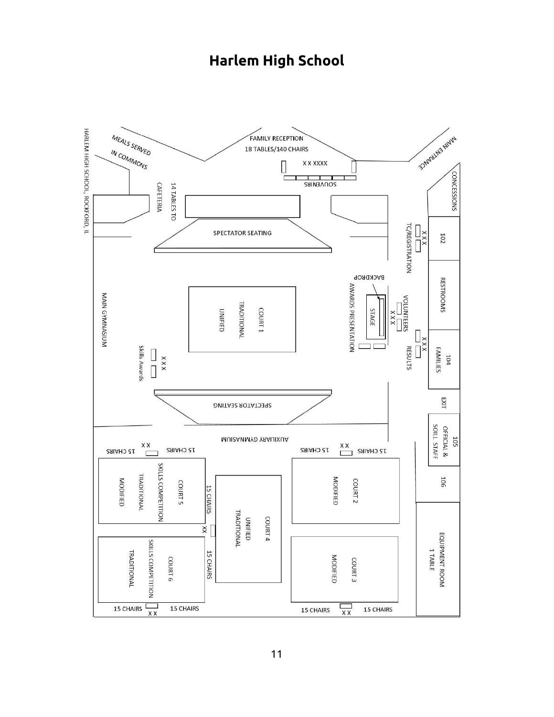## **Harlem High School**

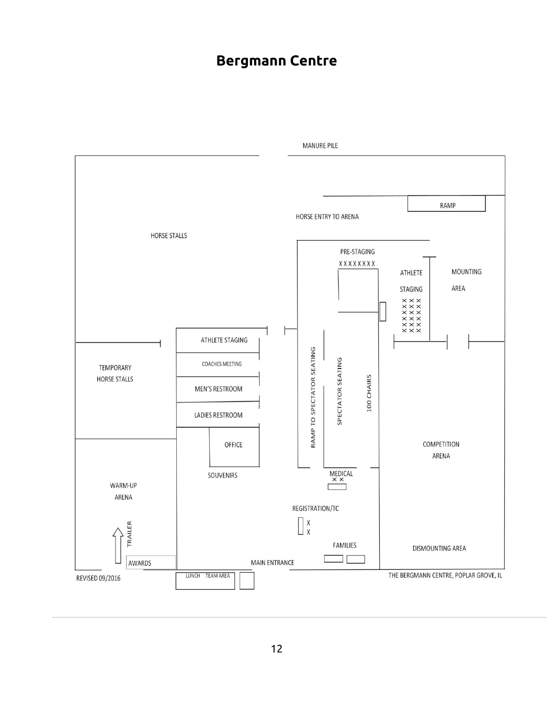#### **Bergmann Centre**

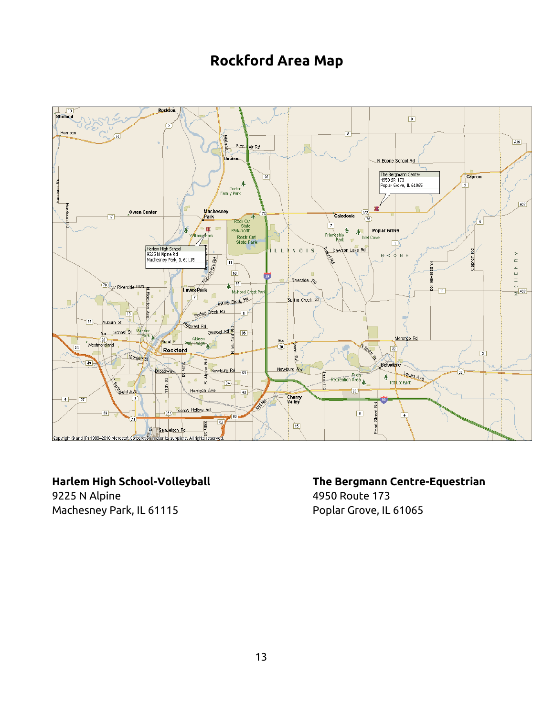#### **Rockford Area Map**



## 9225 N Alpine 4950 Route 173

Machesney Park, IL 61115 Poplar Grove, IL 61065

# **Harlem High School-Volleyball The Bergmann Centre-Equestrian**